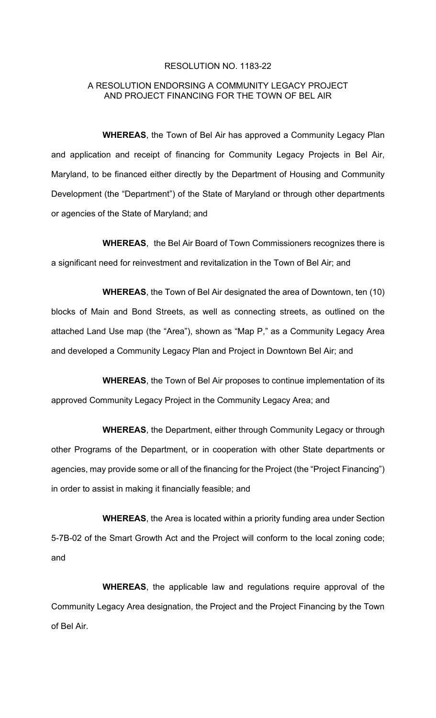## RESOLUTION NO. 1183-22

## A RESOLUTION ENDORSING A COMMUNITY LEGACY PROJECT AND PROJECT FINANCING FOR THE TOWN OF BEL AIR

**WHEREAS**, the Town of Bel Air has approved a Community Legacy Plan and application and receipt of financing for Community Legacy Projects in Bel Air, Maryland, to be financed either directly by the Department of Housing and Community Development (the "Department") of the State of Maryland or through other departments or agencies of the State of Maryland; and

**WHEREAS**, the Bel Air Board of Town Commissioners recognizes there is a significant need for reinvestment and revitalization in the Town of Bel Air; and

**WHEREAS**, the Town of Bel Air designated the area of Downtown, ten (10) blocks of Main and Bond Streets, as well as connecting streets, as outlined on the attached Land Use map (the "Area"), shown as "Map P," as a Community Legacy Area and developed a Community Legacy Plan and Project in Downtown Bel Air; and

**WHEREAS**, the Town of Bel Air proposes to continue implementation of its approved Community Legacy Project in the Community Legacy Area; and

**WHEREAS**, the Department, either through Community Legacy or through other Programs of the Department, or in cooperation with other State departments or agencies, may provide some or all of the financing for the Project (the "Project Financing") in order to assist in making it financially feasible; and

**WHEREAS**, the Area is located within a priority funding area under Section 5-7B-02 of the Smart Growth Act and the Project will conform to the local zoning code; and

**WHEREAS**, the applicable law and regulations require approval of the Community Legacy Area designation, the Project and the Project Financing by the Town of Bel Air.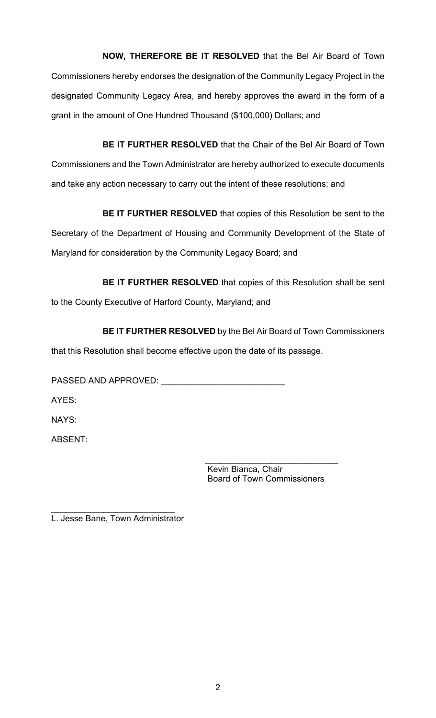**NOW, THEREFORE BE IT RESOLVED** that the Bel Air Board of Town Commissioners hereby endorses the designation of the Community Legacy Project in the designated Community Legacy Area, and hereby approves the award in the form of a grant in the amount of One Hundred Thousand (\$100,000) Dollars; and

**BE IT FURTHER RESOLVED** that the Chair of the Bel Air Board of Town Commissioners and the Town Administrator are hereby authorized to execute documents and take any action necessary to carry out the intent of these resolutions; and

**BE IT FURTHER RESOLVED** that copies of this Resolution be sent to the Secretary of the Department of Housing and Community Development of the State of Maryland for consideration by the Community Legacy Board; and

**BE IT FURTHER RESOLVED** that copies of this Resolution shall be sent to the County Executive of Harford County, Maryland; and

**BE IT FURTHER RESOLVED** by the Bel Air Board of Town Commissioners that this Resolution shall become effective upon the date of its passage.

PASSED AND APPROVED:

AYES:

NAYS:

ABSENT:

\_\_\_\_\_\_\_\_\_\_\_\_\_\_\_\_\_\_\_\_\_\_\_\_\_\_\_\_ Kevin Bianca, Chair Board of Town Commissioners

\_\_\_\_\_\_\_\_\_\_\_\_\_\_\_\_\_\_\_\_\_\_\_\_\_\_ L. Jesse Bane, Town Administrator